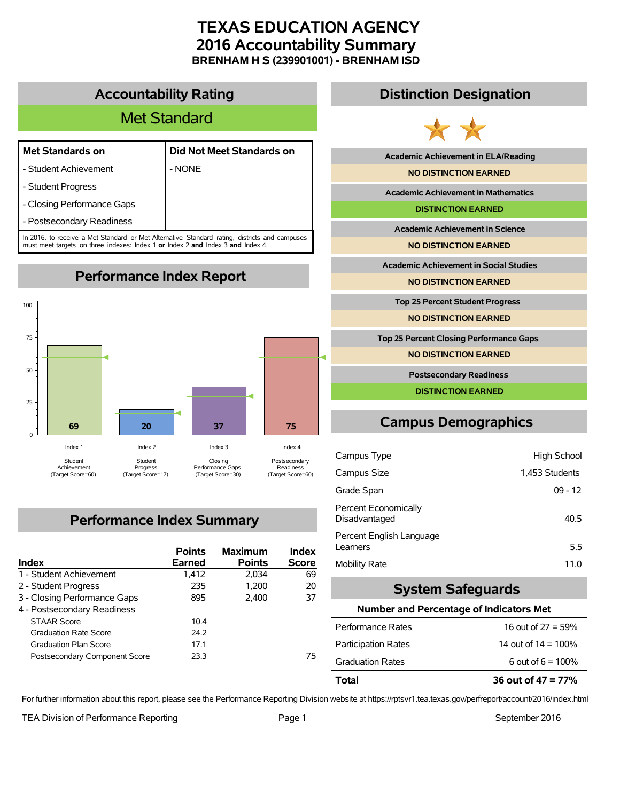## **TEXAS EDUCATION AGENCY 2016 Accountability Summary BRENHAM H S (239901001) - BRENHAM ISD**

### **Accountability Rating**

# Met Standard

- Student Achievement | NONE
- **Met Standards on Did Not Meet Standards on**
- Student Progress
- Closing Performance Gaps
- Postsecondary Readiness

In 2016, to receive a Met Standard or Met Alternative Standard rating, districts and campuses must meet targets on three indexes: Index 1 **or** Index 2 **and** Index 3 **and** Index 4.



# **Performance Index Summary**

| Index                         | <b>Points</b><br><b>Earned</b> | <b>Maximum</b><br><b>Points</b> | Index<br><b>Score</b> |
|-------------------------------|--------------------------------|---------------------------------|-----------------------|
| 1 - Student Achievement       | 1.412                          | 2.034                           | 69                    |
| 2 - Student Progress          | 235                            | 1.200                           | 20                    |
| 3 - Closing Performance Gaps  | 895                            | 2.400                           | 37                    |
| 4 - Postsecondary Readiness   |                                |                                 |                       |
| <b>STAAR Score</b>            | 10.4                           |                                 |                       |
| <b>Graduation Rate Score</b>  | 24.2                           |                                 |                       |
| <b>Graduation Plan Score</b>  | 17.1                           |                                 |                       |
| Postsecondary Component Score | 23.3                           |                                 | 75                    |

### **Distinction Designation**



**Academic Achievement in ELA/Reading**

**NO DISTINCTION EARNED**

**Academic Achievement in Mathematics**

**DISTINCTION EARNED**

**Academic Achievement in Science**

**NO DISTINCTION EARNED**

**Academic Achievement in Social Studies**

**NO DISTINCTION EARNED**

**Top 25 Percent Student Progress**

**NO DISTINCTION EARNED**

**Top 25 Percent Closing Performance Gaps**

**NO DISTINCTION EARNED**

**Postsecondary Readiness**

**DISTINCTION EARNED**

# **Campus Demographics**

| Campus Type                           | High School    |
|---------------------------------------|----------------|
| Campus Size                           | 1,453 Students |
| Grade Span                            | $09 - 12$      |
| Percent Economically<br>Disadvantaged | 40.5           |
| Percent English Language<br>Learners  | 5.5            |
| Mobility Rate                         | 11.0           |

#### **System Safeguards**

#### **Number and Percentage of Indicators Met**

| Total                      | 36 out of $47 = 77\%$  |
|----------------------------|------------------------|
| <b>Graduation Rates</b>    | 6 out of $6 = 100\%$   |
| <b>Participation Rates</b> | 14 out of $14 = 100\%$ |
| Performance Rates          | 16 out of $27 = 59\%$  |

For further information about this report, please see the Performance Reporting Division website at https://rptsvr1.tea.texas.gov/perfreport/account/2016/index.html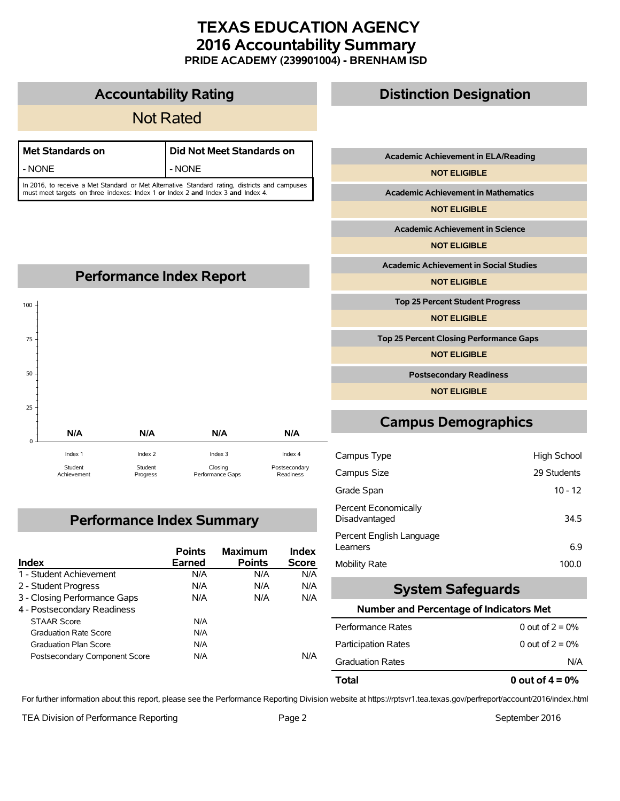## **TEXAS EDUCATION AGENCY 2016 Accountability Summary PRIDE ACADEMY (239901004) - BRENHAM ISD**

|                      |         |                                                                                                                                                                                  | <b>Not Rated</b> |                         |          |
|----------------------|---------|----------------------------------------------------------------------------------------------------------------------------------------------------------------------------------|------------------|-------------------------|----------|
| <b>Academic A</b>    |         | Did Not Meet Standards on                                                                                                                                                        |                  | <b>Met Standards on</b> |          |
|                      |         | - NONE                                                                                                                                                                           |                  |                         | - NONE   |
| Academic A           |         | In 2016, to receive a Met Standard or Met Alternative Standard rating, districts and campuses<br>must meet targets on three indexes: Index 1 or Index 2 and Index 3 and Index 4. |                  |                         |          |
|                      |         |                                                                                                                                                                                  |                  |                         |          |
| Academic             |         |                                                                                                                                                                                  |                  |                         |          |
|                      |         |                                                                                                                                                                                  |                  |                         |          |
| <b>Academic Ac</b>   |         |                                                                                                                                                                                  |                  |                         |          |
|                      |         | <b>Performance Index Report</b>                                                                                                                                                  |                  |                         |          |
| Top 25 Pe            |         |                                                                                                                                                                                  |                  |                         | 100      |
|                      |         |                                                                                                                                                                                  |                  |                         |          |
| <b>Top 25 Percen</b> |         |                                                                                                                                                                                  |                  |                         | 75       |
|                      |         |                                                                                                                                                                                  |                  |                         |          |
| <b>Posts</b>         |         |                                                                                                                                                                                  |                  |                         | 50       |
|                      |         |                                                                                                                                                                                  |                  |                         |          |
| <b>Campus</b>        | N/A     | N/A                                                                                                                                                                              | N/A              | N/A                     | 25       |
|                      |         |                                                                                                                                                                                  |                  |                         | $\Omega$ |
| Campus Type          | Index 4 | Index 3                                                                                                                                                                          | Index 2          | Index 1                 |          |

Closing Performance Gaps

# **Performance Index Summary**

Student Progress

**Accountability Rating**

| <b>Index</b>                  | <b>Points</b><br>Earned | <b>Maximum</b><br><b>Points</b> | Index<br><b>Score</b> |
|-------------------------------|-------------------------|---------------------------------|-----------------------|
| 1 - Student Achievement       | N/A                     | N/A                             | N/A                   |
| 2 - Student Progress          | N/A                     | N/A                             | N/A                   |
| 3 - Closing Performance Gaps  | N/A                     | N/A                             | N/A                   |
| 4 - Postsecondary Readiness   |                         |                                 |                       |
| <b>STAAR Score</b>            | N/A                     |                                 |                       |
| <b>Graduation Rate Score</b>  | N/A                     |                                 |                       |
| <b>Graduation Plan Score</b>  | N/A                     |                                 |                       |
| Postsecondary Component Score | N/A                     |                                 | N/A                   |

## **Distinction Designation**

**Chievement in ELA/Reading** 

**NOT ELIGIBLE**

**Academic Achievement in Mathematics**

**NOT ELIGIBLE**

**Achievement in Science** 

**NOT ELIGIBLE**

**hievement in Social Studies** 

**NOT ELIGIBLE**

**Top 25 Percent Student Progress**

**NOT ELIGIBLE**

**Top 25 Percent Closing Performance Gaps**

**NOT ELIGIBLE**

**Postsecondary Readiness**

**NOT ELIGIBLE**

## **Demographics**

| Campus Type                           | <b>High School</b> |
|---------------------------------------|--------------------|
| Campus Size                           | 29 Students        |
| Grade Span                            | $10 - 12$          |
| Percent Economically<br>Disadvantaged | 34.5               |
| Percent English Language<br>Learners  | 6.9                |
| <b>Mobility Rate</b>                  | 100.0              |

#### **System Safeguards**

#### **Number and Percentage of Indicators Met**

| Total                      | 0 out of $4 = 0\%$ |
|----------------------------|--------------------|
| <b>Graduation Rates</b>    | N/A                |
| <b>Participation Rates</b> | 0 out of $2 = 0\%$ |
| Performance Rates          | 0 out of $2 = 0\%$ |
|                            |                    |

For further information about this report, please see the Performance Reporting Division website at https://rptsvr1.tea.texas.gov/perfreport/account/2016/index.html

TEA Division of Performance Reporting TEA Division of Performance Reporting TEA September 2016

Student Achievement Postsecondary Readiness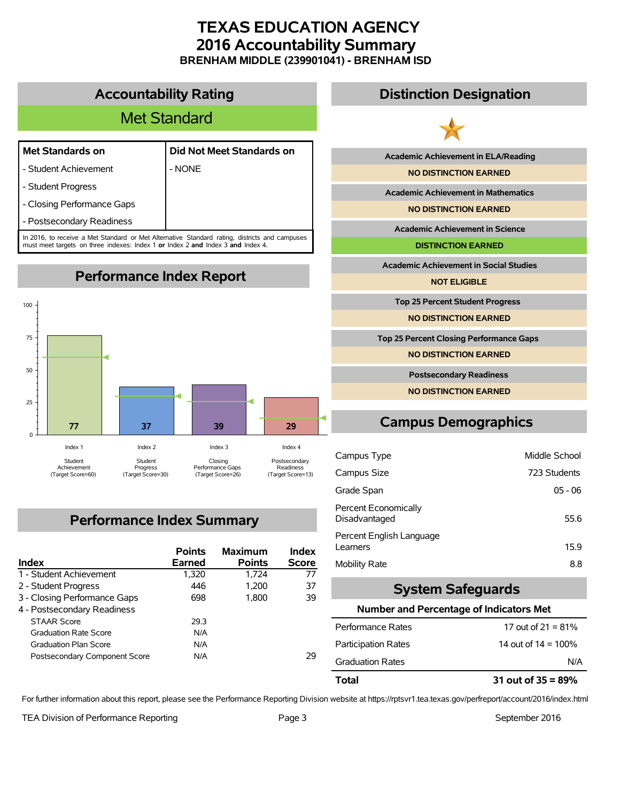## **TEXAS EDUCATION AGENCY 2016 Accountability Summary BRENHAM MIDDLE (239901041) - BRENHAM ISD**

**Accountability Rating**

# Met Standard

#### **Met Standards on Did Not Meet Standards on**

- Student Achievement | NONE

- Student Progress

- Closing Performance Gaps

- Postsecondary Readiness

In 2016, to receive a Met Standard or Met Alternative Standard rating, districts and campuses must meet targets on three indexes: Index 1 **or** Index 2 **and** Index 3 **and** Index 4.

**Performance Index Report**



# **Performance Index Summary**

| <b>Index</b>                  | <b>Points</b><br><b>Earned</b> | <b>Maximum</b><br><b>Points</b> | Index<br><b>Score</b> |
|-------------------------------|--------------------------------|---------------------------------|-----------------------|
| 1 - Student Achievement       | 1,320                          | 1.724                           | 77                    |
| 2 - Student Progress          | 446                            | 1.200                           | 37                    |
| 3 - Closing Performance Gaps  | 698                            | 1.800                           | 39                    |
| 4 - Postsecondary Readiness   |                                |                                 |                       |
| <b>STAAR Score</b>            | 29.3                           |                                 |                       |
| <b>Graduation Rate Score</b>  | N/A                            |                                 |                       |
| <b>Graduation Plan Score</b>  | N/A                            |                                 |                       |
| Postsecondary Component Score | N/A                            |                                 | 29                    |

## **Distinction Designation**



**Academic Achievement in ELA/Reading**

**NO DISTINCTION EARNED**

**Academic Achievement in Mathematics**

**NO DISTINCTION EARNED**

**Academic Achievement in Science**

**DISTINCTION EARNED**

**Academic Achievement in Social Studies**

**NOT ELIGIBLE**

**Top 25 Percent Student Progress**

**NO DISTINCTION EARNED**

**Top 25 Percent Closing Performance Gaps**

**NO DISTINCTION EARNED**

**Postsecondary Readiness**

**NO DISTINCTION EARNED**

# **Campus Demographics**

| Campus Type                                  | Middle School |
|----------------------------------------------|---------------|
| Campus Size                                  | 723 Students  |
| Grade Span                                   | $05 - 06$     |
| <b>Percent Economically</b><br>Disadvantaged | 55.6          |
| Percent English Language<br>Learners         | 15.9          |
| Mobility Rate                                | 8.8           |

### **System Safeguards**

#### **Number and Percentage of Indicators Met**

| N/A                    |
|------------------------|
|                        |
| 14 out of $14 = 100\%$ |
| 17 out of 21 = $81\%$  |
|                        |

For further information about this report, please see the Performance Reporting Division website at https://rptsvr1.tea.texas.gov/perfreport/account/2016/index.html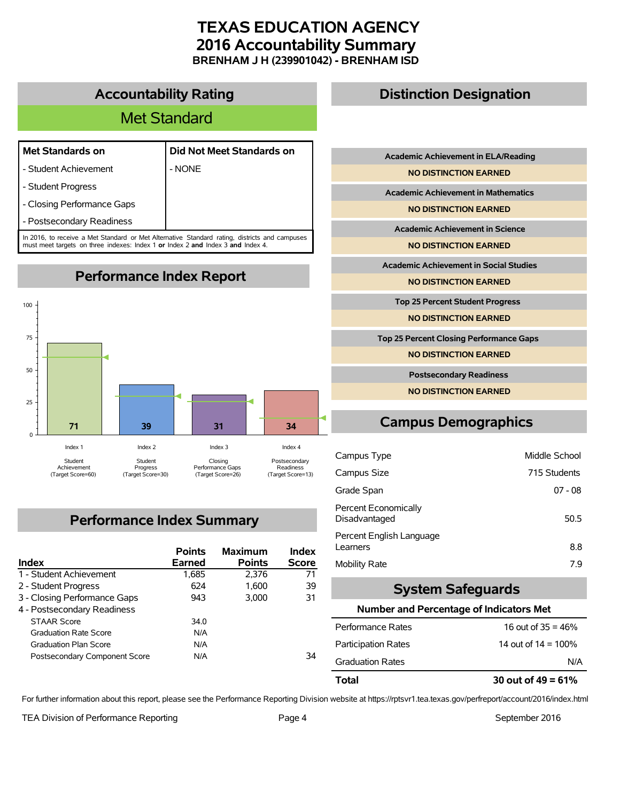## **TEXAS EDUCATION AGENCY 2016 Accountability Summary BRENHAM J H (239901042) - BRENHAM ISD**

**Accountability Rating**

# Met Standard

|  | <b>Met Standards on</b> |  |  |
|--|-------------------------|--|--|
|--|-------------------------|--|--|

- Student Achievement | NONE
- 

**Met Standards on Did Not Meet Standards on**

- Student Progress
- Closing Performance Gaps
- Postsecondary Readiness

In 2016, to receive a Met Standard or Met Alternative Standard rating, districts and campuses must meet targets on three indexes: Index 1 **or** Index 2 **and** Index 3 **and** Index 4.

**Performance Index Report**



# **Performance Index Summary**

| Index                         | <b>Points</b><br>Earned | <b>Maximum</b><br><b>Points</b> | Index<br><b>Score</b> |
|-------------------------------|-------------------------|---------------------------------|-----------------------|
| 1 - Student Achievement       | 1,685                   | 2.376                           | 71                    |
| 2 - Student Progress          | 624                     | 1.600                           | 39                    |
| 3 - Closing Performance Gaps  | 943                     | 3.000                           | 31                    |
| 4 - Postsecondary Readiness   |                         |                                 |                       |
| <b>STAAR Score</b>            | 34.0                    |                                 |                       |
| <b>Graduation Rate Score</b>  | N/A                     |                                 |                       |
| <b>Graduation Plan Score</b>  | N/A                     |                                 |                       |
| Postsecondary Component Score | N/A                     |                                 | 34                    |

## **Distinction Designation**

**Academic Achievement in ELA/Reading**

**NO DISTINCTION EARNED**

**Academic Achievement in Mathematics**

**NO DISTINCTION EARNED**

**Academic Achievement in Science**

**NO DISTINCTION EARNED**

**Academic Achievement in Social Studies**

**NO DISTINCTION EARNED**

**Top 25 Percent Student Progress**

**NO DISTINCTION EARNED**

**Top 25 Percent Closing Performance Gaps**

**NO DISTINCTION EARNED**

**Postsecondary Readiness**

**NO DISTINCTION EARNED**

# **Campus Demographics**

| Campus Type                           | Middle School |
|---------------------------------------|---------------|
| Campus Size                           | 715 Students  |
| Grade Span                            | $07 - 08$     |
| Percent Economically<br>Disadvantaged | 50.5          |
| Percent English Language<br>Learners  | 8.8           |
| Mobility Rate                         | 79            |

### **System Safeguards**

#### **Number and Percentage of Indicators Met**

| 30 out of $49 = 61\%$  |  |
|------------------------|--|
| N/A                    |  |
| 14 out of $14 = 100\%$ |  |
| 16 out of $35 = 46\%$  |  |
|                        |  |

For further information about this report, please see the Performance Reporting Division website at https://rptsvr1.tea.texas.gov/perfreport/account/2016/index.html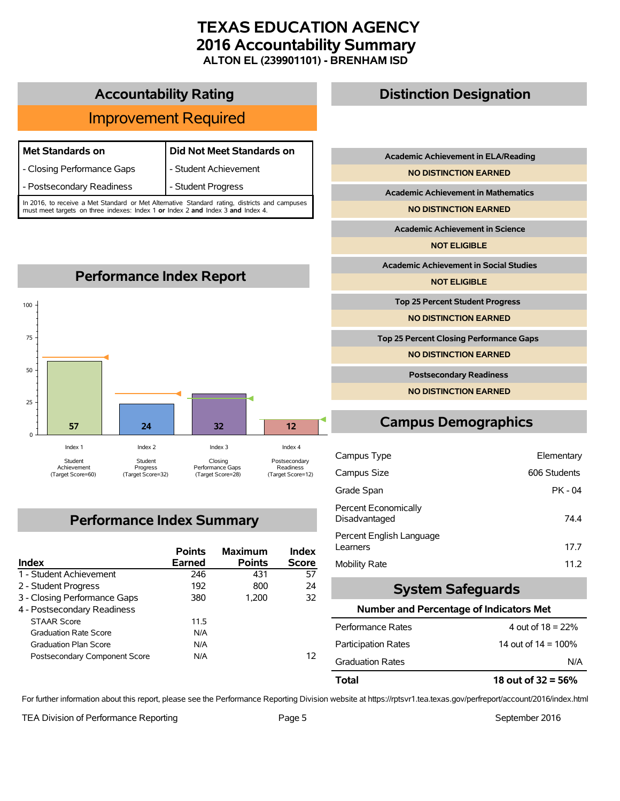## **TEXAS EDUCATION AGENCY 2016 Accountability Summary ALTON EL (239901101) - BRENHAM ISD**

## **Accountability Rating**

# Improvement Required

| <b>Met Standards on</b>                                                                       | Did Not Meet Standards on |  |
|-----------------------------------------------------------------------------------------------|---------------------------|--|
| - Closing Performance Gaps                                                                    | - Student Achievement     |  |
| - Postsecondary Readiness                                                                     | - Student Progress        |  |
| In 2016, to receive a Met Standard or Met Alternative Standard rating, districts and campuses |                           |  |

In 2016, to receive a Met Standard or Met Alternative Standard rating, districts and campuses must meet targets on three indexes: Index 1 **or** Index 2 **and** Index 3 **and** Index 4.



## **Performance Index Summary**

| <b>Index</b>                  | <b>Points</b><br>Earned | <b>Maximum</b><br><b>Points</b> | Index<br><b>Score</b> |
|-------------------------------|-------------------------|---------------------------------|-----------------------|
| 1 - Student Achievement       | 246                     | 431                             | 57                    |
| 2 - Student Progress          | 192                     | 800                             | 24                    |
| 3 - Closing Performance Gaps  | 380                     | 1.200                           | 32                    |
| 4 - Postsecondary Readiness   |                         |                                 |                       |
| <b>STAAR Score</b>            | 11.5                    |                                 |                       |
| <b>Graduation Rate Score</b>  | N/A                     |                                 |                       |
| <b>Graduation Plan Score</b>  | N/A                     |                                 |                       |
| Postsecondary Component Score | N/A                     |                                 | 12                    |

## **Distinction Designation**

**Academic Achievement in ELA/Reading**

**NO DISTINCTION EARNED**

**Academic Achievement in Mathematics**

**NO DISTINCTION EARNED**

**Academic Achievement in Science**

**NOT ELIGIBLE**

**Academic Achievement in Social Studies**

**NOT ELIGIBLE**

**Top 25 Percent Student Progress**

**NO DISTINCTION EARNED**

**Top 25 Percent Closing Performance Gaps**

**NO DISTINCTION EARNED**

**Postsecondary Readiness**

**NO DISTINCTION EARNED**

## **Campus Demographics**

| Campus Type                           | Elementary   |
|---------------------------------------|--------------|
| Campus Size                           | 606 Students |
| Grade Span                            | PK - 04      |
| Percent Economically<br>Disadvantaged | 74.4         |
| Percent English Language<br>Learners  | 17.7         |
| <b>Mobility Rate</b>                  | 11.2         |

#### **System Safeguards**

#### **Number and Percentage of Indicators Met**

| Total                      | 18 out of $32 = 56\%$  |  |
|----------------------------|------------------------|--|
| <b>Graduation Rates</b>    | N/A                    |  |
| <b>Participation Rates</b> | 14 out of $14 = 100\%$ |  |
| Performance Rates          | 4 out of $18 = 22%$    |  |

For further information about this report, please see the Performance Reporting Division website at https://rptsvr1.tea.texas.gov/perfreport/account/2016/index.html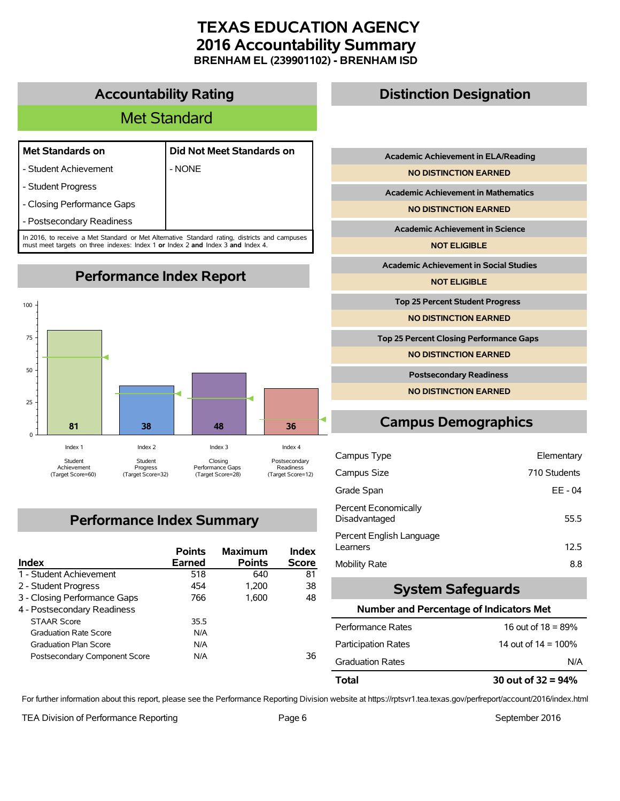## **TEXAS EDUCATION AGENCY 2016 Accountability Summary BRENHAM EL (239901102) - BRENHAM ISD**

#### **Accountability Rating**

# Met Standard

| <b>Met Standards on</b> |
|-------------------------|
|                         |

- Student Achievement | NONE
- **Met Standards on Did Not Meet Standards on**
- Student Progress
- Closing Performance Gaps
- Postsecondary Readiness

In 2016, to receive a Met Standard or Met Alternative Standard rating, districts and campuses must meet targets on three indexes: Index 1 **or** Index 2 **and** Index 3 **and** Index 4.

**Performance Index Report**



## **Performance Index Summary**

| <b>Index</b>                  | <b>Points</b><br>Earned | <b>Maximum</b><br><b>Points</b> | Index<br><b>Score</b> |
|-------------------------------|-------------------------|---------------------------------|-----------------------|
| 1 - Student Achievement       | 518                     | 640                             | 81                    |
| 2 - Student Progress          | 454                     | 1.200                           | 38                    |
| 3 - Closing Performance Gaps  | 766                     | 1.600                           | 48                    |
| 4 - Postsecondary Readiness   |                         |                                 |                       |
| <b>STAAR Score</b>            | 35.5                    |                                 |                       |
| <b>Graduation Rate Score</b>  | N/A                     |                                 |                       |
| <b>Graduation Plan Score</b>  | N/A                     |                                 |                       |
| Postsecondary Component Score | N/A                     |                                 | 36                    |

### **Distinction Designation**

**Academic Achievement in ELA/Reading**

**NO DISTINCTION EARNED**

**Academic Achievement in Mathematics**

**NO DISTINCTION EARNED**

**Academic Achievement in Science**

**NOT ELIGIBLE**

**Academic Achievement in Social Studies**

**NOT ELIGIBLE**

**Top 25 Percent Student Progress**

**NO DISTINCTION EARNED**

**Top 25 Percent Closing Performance Gaps**

**NO DISTINCTION EARNED**

**Postsecondary Readiness**

**NO DISTINCTION EARNED**

## **Campus Demographics**

| Campus Type                           | Elementary   |
|---------------------------------------|--------------|
| Campus Size                           | 710 Students |
| Grade Span                            | EE - 04      |
| Percent Economically<br>Disadvantaged | 55.5         |
| Percent English Language<br>Learners  | 12.5         |
| <b>Mobility Rate</b>                  | 8.8          |

#### **System Safeguards**

#### **Number and Percentage of Indicators Met**

| N/A                    |  |
|------------------------|--|
| 14 out of $14 = 100\%$ |  |
| 16 out of $18 = 89\%$  |  |
|                        |  |

For further information about this report, please see the Performance Reporting Division website at https://rptsvr1.tea.texas.gov/perfreport/account/2016/index.html